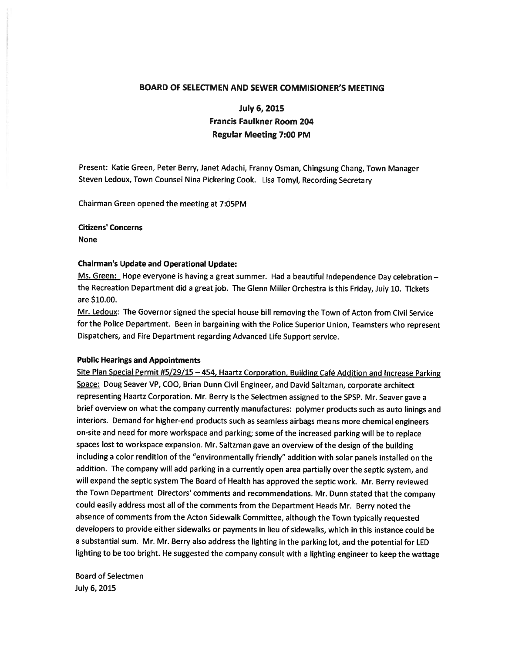## BOARD OF SELECTMEN AND SEWER COMMISIONER'S MEETING

# July 6, 2015 Francis Faulkner Room 204 Regular Meeting 7:00 PM

Present: Katie Green, Peter Berry, Janet Adachi, Franny Osman, Chingsung Chang, Town Manager Steven Ledoux, Town Counsel Nina Pickering Cook. Lisa Tomyl, Recording Secretary

Chairman Green opened the meeting at 7:05PM

### Citizens' Concerns

None

### Chairman's Update and Operational Update:

Ms. Green: Hope everyone is having a great summer. Had a beautiful Independence Day celebration the Recreation Department did <sup>a</sup> grea<sup>t</sup> job. The Glenn Miller Orchestra is this Friday, July 10. Tickets are \$10.00.

Mr. Ledoux: The Governor signed the special house bill removing the Town of Acton from Civil Service for the Police Department. Been in bargaining with the Police Superior Union, Teamsters who represen<sup>t</sup> Dispatchers, and Fire Department regarding Advanced Life Support service.

### Public Hearings and Appointments

Site Plan Special Permit #5/29/15 —454, Haartz Corporation, Building Café Addition and Increase Parking Space: Doug Seaver VP, COO, Brian Dunn Civil Engineer, and David Saltzman, corporate architect representing Haartz Corporation. Mr. Berry is the Selectmen assigned to the SPSP. Mr. Seaver gave <sup>a</sup> brief overview on what the company currently manufactures: polymer products such as auto linings and interiors. Demand for higher-end products such as seamless airbags means more chemical engineers on-site and need for more workspace and parking; some of the increased parking will be to replace spaces lost to workspace expansion. Mr. Saltzman gave an overview of the design of the building including <sup>a</sup> color rendition of the "environmentally friendly" addition with solar panels installed on the addition. The company will add parking in <sup>a</sup> currently open area partially over the septic system, and will expan<sup>d</sup> the septic system The Board of Health has approve<sup>d</sup> the septic work. Mr. Berry reviewed the Town Department Directors' comments and recommendations. Mr. Dunn stated that the company could easily address most all of the comments from the Department Heads Mr. Berry noted the absence of comments from the Acton Sidewalk Committee, although the Town typically requested developers to provide either sidewalks or payments in lieu of sidewalks, which in this instance could be <sup>a</sup> substantial sum. Mr. Mr. Berry also address the lighting in the parking lot, and the potential for LED lighting to be too bright. He suggested the company consult with <sup>a</sup> lighting engineer to keep the wattage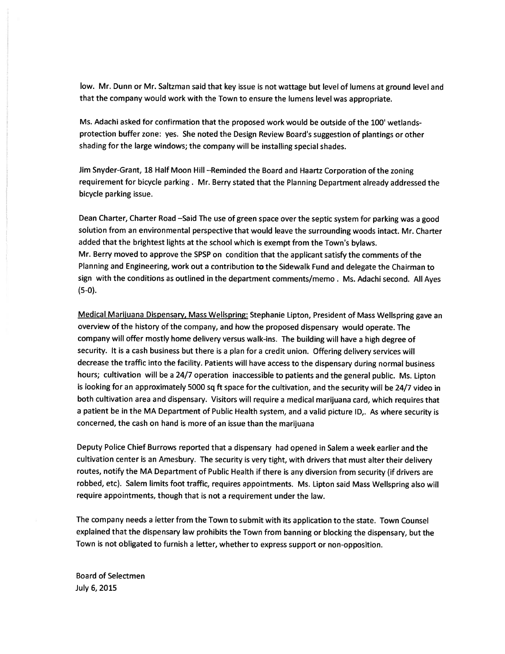low. Mr. Dunn or Mr. Saltzman said that key issue is not wattage but level of lumens at groun<sup>d</sup> level and that the company would work with the Town to ensure the lumens level was appropriate.

Ms. Adachi asked for confirmation that the proposed work would be outside of the 100' wetlandsprotection buffer zone: yes. She noted the Design Review Board's suggestion of plantings or other shading for the large windows; the company will be installing special shades.

Jim Snyder-Grant, <sup>18</sup> Half Moon Hill —Reminded the Board and Haartz Corporation of the zoning requirement for bicycle parking. Mr. Berry stated that the Planning Department already addressed the bicycle parking issue.

Dean Charter, Charter Road —Said The use of green space over the septic system for parking was <sup>a</sup> goo<sup>d</sup> solution from an environmental perspective that would leave the surrounding woods intact. Mr. Charter added that the brightest lights at the school which is exemp<sup>t</sup> from the Town's bylaws. Mr. Berry moved to approve the SPSP on condition that the applicant satisfy the comments of the Planning and Engineering, work out <sup>a</sup> contribution to the Sidewalk Fund and delegate the Chairman to sign with the conditions as outlined in the department comments/memo . Ms. Adachi second. All Ayes (5-0).

Medical Mariiuana Dispensary, Mass Wellspring: Stephanie Lipton, President of Mass Wellspring gave an overview of the history of the company, and how the propose<sup>d</sup> dispensary would operate. The company will offer mostly home delivery versus walk-ins. The building will have <sup>a</sup> high degree of security. It is <sup>a</sup> cash business but there is <sup>a</sup> <sup>p</sup>lan for <sup>a</sup> credit union. Offering delivery services will decrease the traffic into the facility. Patients will have access to the dispensary during normal business hours; cultivation will be <sup>a</sup> 24/7 operation inaccessible to patients and the genera<sup>l</sup> public. Ms. Lipton is looking for an approximately <sup>5000</sup> sq ft space for the cultivation, and the security will be 24/7 video in both cultivation area and dispensary. Visitors will require <sup>a</sup> medical marijuana card, which requires that <sup>a</sup> patient be in the MA Department of Public Health system, and <sup>a</sup> valid <sup>p</sup>icture ID,. As where security is concerned, the cash on hand is more of an issue than the marijuana

Deputy Police Chief Burrows reported that <sup>a</sup> dispensary had opene<sup>d</sup> in Salem <sup>a</sup> week earlier and the cultivation center is an Amesbury. The security is very tight, with drivers that must alter their delivery routes, notify the MA Department of Public Health if there is any diversion from security (if drivers are robbed, etc). Salem limits foot traffic, requires appointments. Ms. Lipton said Mass Wellspring also will require appointments, though that is not <sup>a</sup> requirement under the law.

The company needs <sup>a</sup> letter from the Town to submit with its application to the state. Town Counsel explained that the dispensary law prohibits the Town from banning or blocking the dispensary, but the Town is not obligated to furnish <sup>a</sup> letter, whether to express suppor<sup>t</sup> or non-opposition.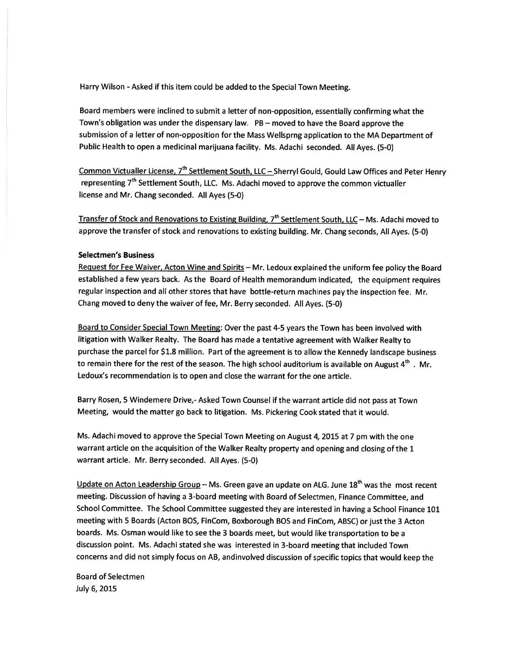Harry Wilson - Asked if this item could be added to the Special Town Meeting.

Board members were inclined to submit <sup>a</sup> letter of non-opposition, essentially confirming what the Town's obligation was under the dispensary law. PB — moved to have the Board approve the submission of <sup>a</sup> letter of non-opposition for the Mass Wellsprng application to the MA Department of Public Health to open <sup>a</sup> medicinal marijuana facility. Ms. Adachi seconded. All Ayes. (5-0)

Common Victualler License, 7<sup>th</sup> Settlement South, LLC – Sherryl Gould, Gould Law Offices and Peter Henry representing 7<sup>th</sup> Settlement South, LLC. Ms. Adachi moved to approve the common victualler license and Mr. Chang seconded. All Ayes (5-0)

Transfer of Stock and Renovations to Existing Building,  $7<sup>th</sup>$  Settlement South, LLC – Ms. Adachi moved to approve the transfer of stock and renovations to existing building. Mr. Chang seconds, All Ayes. (5-0)

### Selectmen's Business

Request for Fee Waiver, Acton Wine and Spirits — Mr. Ledoux explained the uniform fee policy the Board established <sup>a</sup> few years back. As the Board of Health memorandum indicated, the equipment requires regular inspection and all other stores that have bottle-return machines pay the inspection fee. Mr. Chang moved to deny the waiver of fee, Mr. Berry seconded. All Ayes. (5-0)

Board to Consider Special Town Meeting: Over the pas<sup>t</sup> 4-5 years the Town has been involved with litigation with Walker Realty. The Board has made <sup>a</sup> tentative agreemen<sup>t</sup> with Walker Realty to purchase the parce<sup>l</sup> for \$1.8 million. Part of the agreemen<sup>t</sup> is to allow the Kennedy landscape business to remain there for the rest of the season. The high school auditorium is available on August  $4^{\text{th}}$ . Mr. Ledoux's recommendation is to open and close the warrant for the one article.

Barry Rosen, <sup>5</sup> Windemere Drive,- Asked Town Counsel if the warrant article did not pass at Town Meeting, would the matter go back to litigation. Ms. Pickering Cook stated that it would.

Ms. Adachi moved to approve the Special Town Meeting on August 4, 2015 at <sup>7</sup> pm with the one warrant article on the acquisition of the Walker Realty property and opening and closing of the <sup>1</sup> warrant article. Mr. Berry seconded. All Ayes. (5-0)

Update on Acton Leadership Group – Ms. Green gave an update on ALG. June  $18<sup>th</sup>$  was the most recent meeting. Discussion of having <sup>a</sup> 3-board meeting with Board of Selectmen, Finance Committee, and School Committee. The School Committee suggested they are interested in having <sup>a</sup> School Finance <sup>101</sup> meeting with <sup>5</sup> Boards (Acton BOS, FinCom, Boxborough BOS and FinCom, ABSC) or just the <sup>3</sup> Acton boards. Ms. Osman would like to see the 3 boards meet, but would like transportation to be <sup>a</sup> discussion point. Ms. Adachi stated she was interested in 3-board meeting that included Town concerns and did not simply focus on AB, andinvolved discussion of specific topics that would keep the